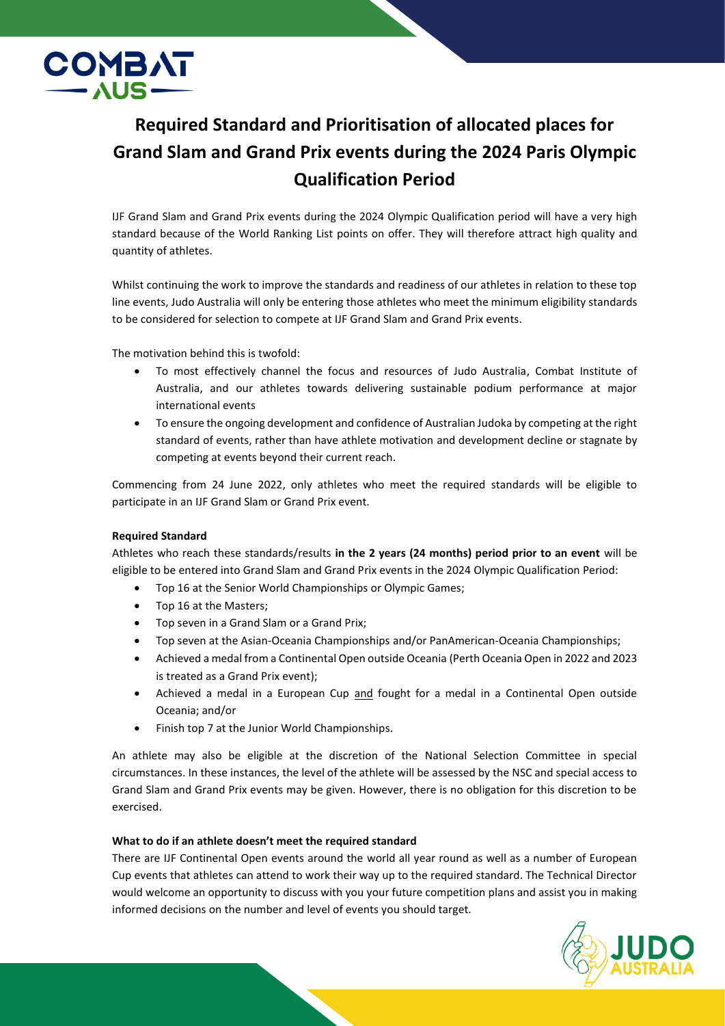

## **Required Standard and Prioritisation of allocated places for Grand Slam and Grand Prix events during the 2024 Paris Olympic Qualification Period**

IJF Grand Slam and Grand Prix events during the 2024 Olympic Qualification period will have a very high standard because of the World Ranking List points on offer. They will therefore attract high quality and quantity of athletes.

Whilst continuing the work to improve the standards and readiness of our athletes in relation to these top line events, Judo Australia will only be entering those athletes who meet the minimum eligibility standards to be considered for selection to compete at IJF Grand Slam and Grand Prix events.

The motivation behind this is twofold:

- To most effectively channel the focus and resources of Judo Australia, Combat Institute of Australia, and our athletes towards delivering sustainable podium performance at major international events
- To ensure the ongoing development and confidence of Australian Judoka by competing at the right standard of events, rather than have athlete motivation and development decline or stagnate by competing at events beyond their current reach.

Commencing from 24 June 2022, only athletes who meet the required standards will be eligible to participate in an IJF Grand Slam or Grand Prix event.

## **Required Standard**

Athletes who reach these standards/results **in the 2 years (24 months) period prior to an event** will be eligible to be entered into Grand Slam and Grand Prix events in the 2024 Olympic Qualification Period:

- Top 16 at the Senior World Championships or Olympic Games;
- Top 16 at the Masters;
- Top seven in a Grand Slam or a Grand Prix;
- Top seven at the Asian-Oceania Championships and/or PanAmerican-Oceania Championships;
- Achieved a medal from a Continental Open outside Oceania (Perth Oceania Open in 2022 and 2023 is treated as a Grand Prix event);
- Achieved a medal in a European Cup and fought for a medal in a Continental Open outside Oceania; and/or
- Finish top 7 at the Junior World Championships.

An athlete may also be eligible at the discretion of the National Selection Committee in special circumstances. In these instances, the level of the athlete will be assessed by the NSC and special access to Grand Slam and Grand Prix events may be given. However, there is no obligation for this discretion to be exercised.

## **What to do if an athlete doesn't meet the required standard**

There are IJF Continental Open events around the world all year round as well as a number of European Cup events that athletes can attend to work their way up to the required standard. The Technical Director would welcome an opportunity to discuss with you your future competition plans and assist you in making informed decisions on the number and level of events you should target.